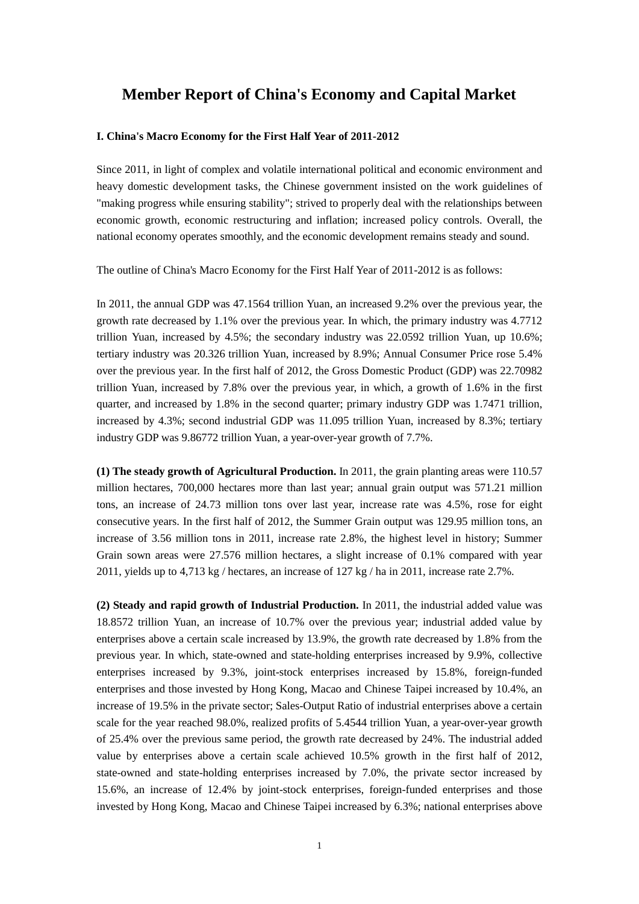## **Member Report of China's Economy and Capital Market**

## **I. China's Macro Economy for the First Half Year of 2011-2012**

Since 2011, in light of complex and volatile international political and economic environment and heavy domestic development tasks, the Chinese government insisted on the work guidelines of "making progress while ensuring stability"; strived to properly deal with the relationships between economic growth, economic restructuring and inflation; increased policy controls. Overall, the national economy operates smoothly, and the economic development remains steady and sound.

The outline of China's Macro Economy for the First Half Year of 2011-2012 is as follows:

In 2011, the annual GDP was 47.1564 trillion Yuan, an increased 9.2% over the previous year, the growth rate decreased by 1.1% over the previous year. In which, the primary industry was 4.7712 trillion Yuan, increased by 4.5%; the secondary industry was 22.0592 trillion Yuan, up 10.6%; tertiary industry was 20.326 trillion Yuan, increased by 8.9%; Annual Consumer Price rose 5.4% over the previous year. In the first half of 2012, the Gross Domestic Product (GDP) was 22.70982 trillion Yuan, increased by 7.8% over the previous year, in which, a growth of 1.6% in the first quarter, and increased by 1.8% in the second quarter; primary industry GDP was 1.7471 trillion, increased by 4.3%; second industrial GDP was 11.095 trillion Yuan, increased by 8.3%; tertiary industry GDP was 9.86772 trillion Yuan, a year-over-year growth of 7.7%.

**(1) The steady growth of Agricultural Production.** In 2011, the grain planting areas were 110.57 million hectares, 700,000 hectares more than last year; annual grain output was 571.21 million tons, an increase of 24.73 million tons over last year, increase rate was 4.5%, rose for eight consecutive years. In the first half of 2012, the Summer Grain output was 129.95 million tons, an increase of 3.56 million tons in 2011, increase rate 2.8%, the highest level in history; Summer Grain sown areas were 27.576 million hectares, a slight increase of 0.1% compared with year 2011, yields up to 4,713 kg / hectares, an increase of 127 kg / ha in 2011, increase rate 2.7%.

**(2) Steady and rapid growth of Industrial Production.** In 2011, the industrial added value was 18.8572 trillion Yuan, an increase of 10.7% over the previous year; industrial added value by enterprises above a certain scale increased by 13.9%, the growth rate decreased by 1.8% from the previous year. In which, state-owned and state-holding enterprises increased by 9.9%, collective enterprises increased by 9.3%, joint-stock enterprises increased by 15.8%, foreign-funded enterprises and those invested by Hong Kong, Macao and Chinese Taipei increased by 10.4%, an increase of 19.5% in the private sector; Sales-Output Ratio of industrial enterprises above a certain scale for the year reached 98.0%, realized profits of 5.4544 trillion Yuan, a year-over-year growth of 25.4% over the previous same period, the growth rate decreased by 24%. The industrial added value by enterprises above a certain scale achieved 10.5% growth in the first half of 2012, state-owned and state-holding enterprises increased by 7.0%, the private sector increased by 15.6%, an increase of 12.4% by joint-stock enterprises, foreign-funded enterprises and those invested by Hong Kong, Macao and Chinese Taipei increased by 6.3%; national enterprises above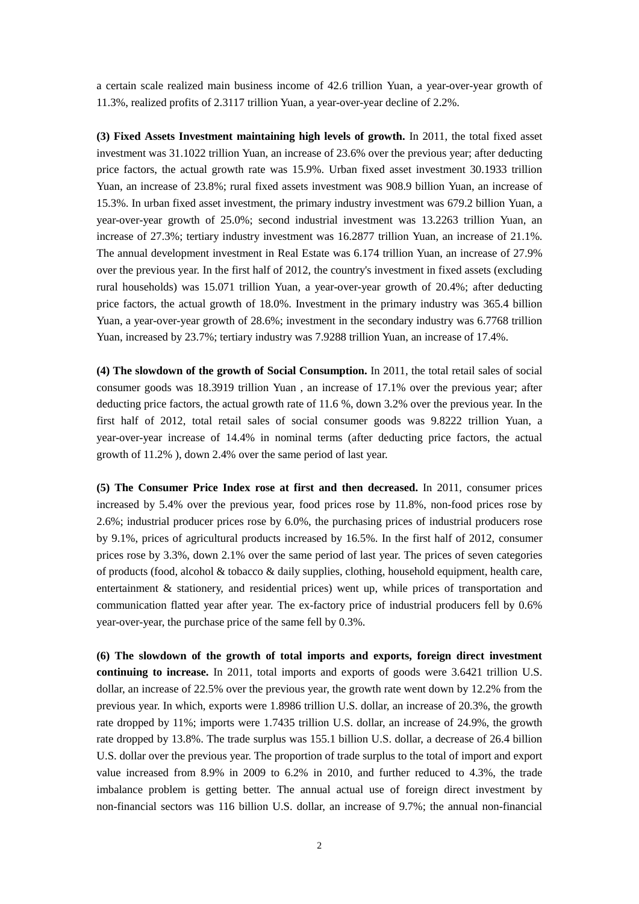a certain scale realized main business income of 42.6 trillion Yuan, a year-over-year growth of 11.3%, realized profits of 2.3117 trillion Yuan, a year-over-year decline of 2.2%.

**(3) Fixed Assets Investment maintaining high levels of growth.** In 2011, the total fixed asset investment was 31.1022 trillion Yuan, an increase of 23.6% over the previous year; after deducting price factors, the actual growth rate was 15.9%. Urban fixed asset investment 30.1933 trillion Yuan, an increase of 23.8%; rural fixed assets investment was 908.9 billion Yuan, an increase of 15.3%. In urban fixed asset investment, the primary industry investment was 679.2 billion Yuan, a year-over-year growth of 25.0%; second industrial investment was 13.2263 trillion Yuan, an increase of 27.3%; tertiary industry investment was 16.2877 trillion Yuan, an increase of 21.1%. The annual development investment in Real Estate was 6.174 trillion Yuan, an increase of 27.9% over the previous year. In the first half of 2012, the country's investment in fixed assets (excluding rural households) was 15.071 trillion Yuan, a year-over-year growth of 20.4%; after deducting price factors, the actual growth of 18.0%. Investment in the primary industry was 365.4 billion Yuan, a year-over-year growth of 28.6%; investment in the secondary industry was 6.7768 trillion Yuan, increased by 23.7%; tertiary industry was 7.9288 trillion Yuan, an increase of 17.4%.

**(4) The slowdown of the growth of Social Consumption.** In 2011, the total retail sales of social consumer goods was 18.3919 trillion Yuan , an increase of 17.1% over the previous year; after deducting price factors, the actual growth rate of 11.6 %, down 3.2% over the previous year. In the first half of 2012, total retail sales of social consumer goods was 9.8222 trillion Yuan, a year-over-year increase of 14.4% in nominal terms (after deducting price factors, the actual growth of 11.2% ), down 2.4% over the same period of last year.

**(5) The Consumer Price Index rose at first and then decreased.** In 2011, consumer prices increased by 5.4% over the previous year, food prices rose by 11.8%, non-food prices rose by 2.6%; industrial producer prices rose by 6.0%, the purchasing prices of industrial producers rose by 9.1%, prices of agricultural products increased by 16.5%. In the first half of 2012, consumer prices rose by 3.3%, down 2.1% over the same period of last year. The prices of seven categories of products (food, alcohol & tobacco & daily supplies, clothing, household equipment, health care, entertainment & stationery, and residential prices) went up, while prices of transportation and communication flatted year after year. The ex-factory price of industrial producers fell by 0.6% year-over-year, the purchase price of the same fell by 0.3%.

**(6) The slowdown of the growth of total imports and exports, foreign direct investment continuing to increase.** In 2011, total imports and exports of goods were 3.6421 trillion U.S. dollar, an increase of 22.5% over the previous year, the growth rate went down by 12.2% from the previous year. In which, exports were 1.8986 trillion U.S. dollar, an increase of 20.3%, the growth rate dropped by 11%; imports were 1.7435 trillion U.S. dollar, an increase of 24.9%, the growth rate dropped by 13.8%. The trade surplus was 155.1 billion U.S. dollar, a decrease of 26.4 billion U.S. dollar over the previous year. The proportion of trade surplus to the total of import and export value increased from 8.9% in 2009 to 6.2% in 2010, and further reduced to 4.3%, the trade imbalance problem is getting better. The annual actual use of foreign direct investment by non-financial sectors was 116 billion U.S. dollar, an increase of 9.7%; the annual non-financial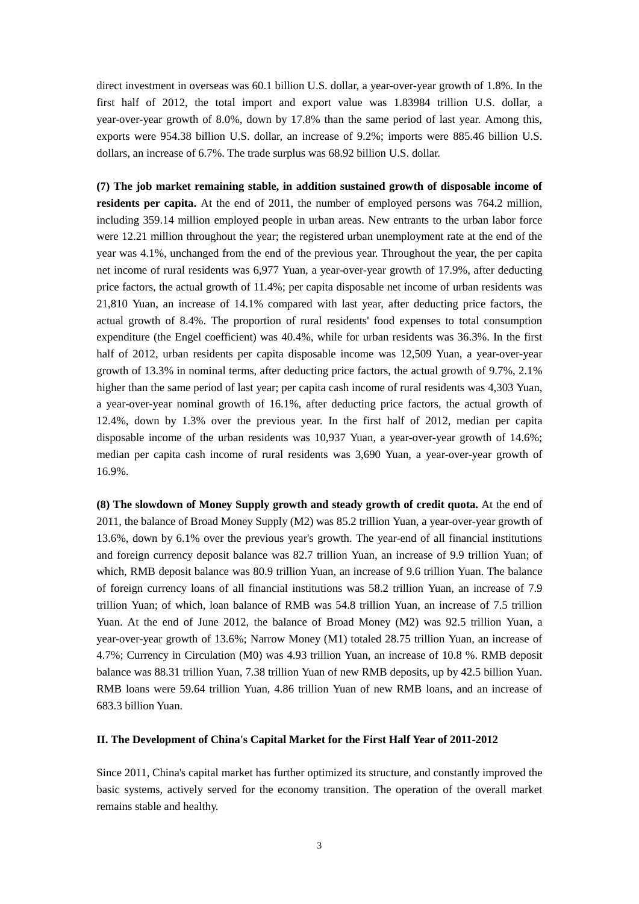direct investment in overseas was 60.1 billion U.S. dollar, a year-over-year growth of 1.8%. In the first half of 2012, the total import and export value was 1.83984 trillion U.S. dollar, a year-over-year growth of 8.0%, down by 17.8% than the same period of last year. Among this, exports were 954.38 billion U.S. dollar, an increase of 9.2%; imports were 885.46 billion U.S. dollars, an increase of 6.7%. The trade surplus was 68.92 billion U.S. dollar.

**(7) The job market remaining stable, in addition sustained growth of disposable income of residents per capita.** At the end of 2011, the number of employed persons was 764.2 million, including 359.14 million employed people in urban areas. New entrants to the urban labor force were 12.21 million throughout the year; the registered urban unemployment rate at the end of the year was 4.1%, unchanged from the end of the previous year. Throughout the year, the per capita net income of rural residents was 6,977 Yuan, a year-over-year growth of 17.9%, after deducting price factors, the actual growth of 11.4%; per capita disposable net income of urban residents was 21,810 Yuan, an increase of 14.1% compared with last year, after deducting price factors, the actual growth of 8.4%. The proportion of rural residents' food expenses to total consumption expenditure (the Engel coefficient) was 40.4%, while for urban residents was 36.3%. In the first half of 2012, urban residents per capita disposable income was 12,509 Yuan, a year-over-year growth of 13.3% in nominal terms, after deducting price factors, the actual growth of 9.7%, 2.1% higher than the same period of last year; per capita cash income of rural residents was 4,303 Yuan, a year-over-year nominal growth of 16.1%, after deducting price factors, the actual growth of 12.4%, down by 1.3% over the previous year. In the first half of 2012, median per capita disposable income of the urban residents was 10,937 Yuan, a year-over-year growth of 14.6%; median per capita cash income of rural residents was 3,690 Yuan, a year-over-year growth of 16.9%.

**(8) The slowdown of Money Supply growth and steady growth of credit quota.** At the end of 2011, the balance of Broad Money Supply (M2) was 85.2 trillion Yuan, a year-over-year growth of 13.6%, down by 6.1% over the previous year's growth. The year-end of all financial institutions and foreign currency deposit balance was 82.7 trillion Yuan, an increase of 9.9 trillion Yuan; of which, RMB deposit balance was 80.9 trillion Yuan, an increase of 9.6 trillion Yuan. The balance of foreign currency loans of all financial institutions was 58.2 trillion Yuan, an increase of 7.9 trillion Yuan; of which, loan balance of RMB was 54.8 trillion Yuan, an increase of 7.5 trillion Yuan. At the end of June 2012, the balance of Broad Money (M2) was 92.5 trillion Yuan, a year-over-year growth of 13.6%; Narrow Money (M1) totaled 28.75 trillion Yuan, an increase of 4.7%; Currency in Circulation (M0) was 4.93 trillion Yuan, an increase of 10.8 %. RMB deposit balance was 88.31 trillion Yuan, 7.38 trillion Yuan of new RMB deposits, up by 42.5 billion Yuan. RMB loans were 59.64 trillion Yuan, 4.86 trillion Yuan of new RMB loans, and an increase of 683.3 billion Yuan.

## **II. The Development of China's Capital Market for the First Half Year of 2011-2012**

Since 2011, China's capital market has further optimized its structure, and constantly improved the basic systems, actively served for the economy transition. The operation of the overall market remains stable and healthy.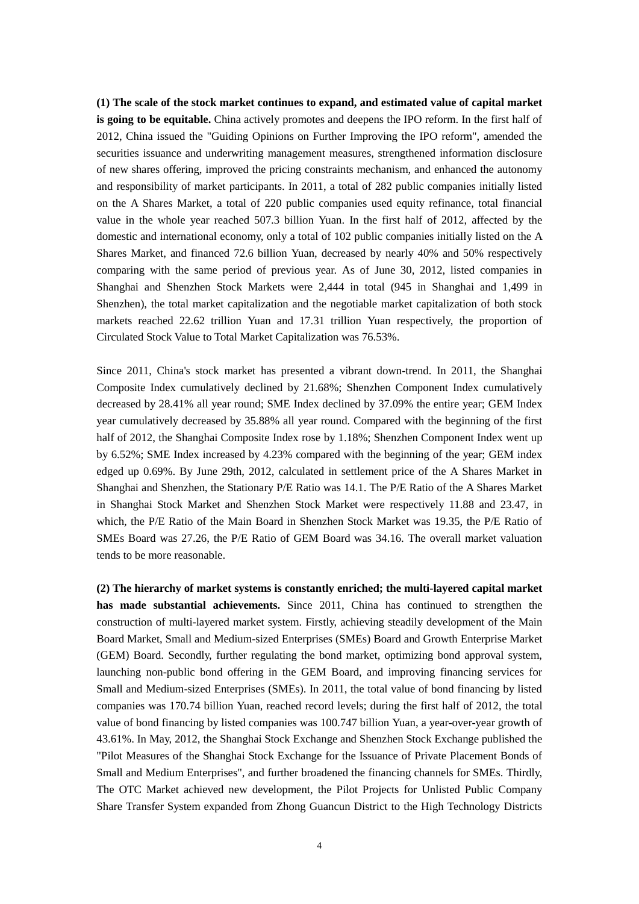**(1) The scale of the stock market continues to expand, and estimated value of capital market is going to be equitable.** China actively promotes and deepens the IPO reform. In the first half of 2012, China issued the "Guiding Opinions on Further Improving the IPO reform", amended the securities issuance and underwriting management measures, strengthened information disclosure of new shares offering, improved the pricing constraints mechanism, and enhanced the autonomy and responsibility of market participants. In 2011, a total of 282 public companies initially listed on the A Shares Market, a total of 220 public companies used equity refinance, total financial value in the whole year reached 507.3 billion Yuan. In the first half of 2012, affected by the domestic and international economy, only a total of 102 public companies initially listed on the A Shares Market, and financed 72.6 billion Yuan, decreased by nearly 40% and 50% respectively comparing with the same period of previous year. As of June 30, 2012, listed companies in Shanghai and Shenzhen Stock Markets were 2,444 in total (945 in Shanghai and 1,499 in Shenzhen), the total market capitalization and the negotiable market capitalization of both stock markets reached 22.62 trillion Yuan and 17.31 trillion Yuan respectively, the proportion of Circulated Stock Value to Total Market Capitalization was 76.53%.

Since 2011, China's stock market has presented a vibrant down-trend. In 2011, the Shanghai Composite Index cumulatively declined by 21.68%; Shenzhen Component Index cumulatively decreased by 28.41% all year round; SME Index declined by 37.09% the entire year; GEM Index year cumulatively decreased by 35.88% all year round. Compared with the beginning of the first half of 2012, the Shanghai Composite Index rose by 1.18%; Shenzhen Component Index went up by 6.52%; SME Index increased by 4.23% compared with the beginning of the year; GEM index edged up 0.69%. By June 29th, 2012, calculated in settlement price of the A Shares Market in Shanghai and Shenzhen, the Stationary P/E Ratio was 14.1. The P/E Ratio of the A Shares Market in Shanghai Stock Market and Shenzhen Stock Market were respectively 11.88 and 23.47, in which, the P/E Ratio of the Main Board in Shenzhen Stock Market was 19.35, the P/E Ratio of SMEs Board was 27.26, the P/E Ratio of GEM Board was 34.16. The overall market valuation tends to be more reasonable.

**(2) The hierarchy of market systems is constantly enriched; the multi-layered capital market has made substantial achievements.** Since 2011, China has continued to strengthen the construction of multi-layered market system. Firstly, achieving steadily development of the Main Board Market, Small and Medium-sized Enterprises (SMEs) Board and Growth Enterprise Market (GEM) Board. Secondly, further regulating the bond market, optimizing bond approval system, launching non-public bond offering in the GEM Board, and improving financing services for Small and Medium-sized Enterprises (SMEs). In 2011, the total value of bond financing by listed companies was 170.74 billion Yuan, reached record levels; during the first half of 2012, the total value of bond financing by listed companies was 100.747 billion Yuan, a year-over-year growth of 43.61%. In May, 2012, the Shanghai Stock Exchange and Shenzhen Stock Exchange published the "Pilot Measures of the Shanghai Stock Exchange for the Issuance of Private Placement Bonds of Small and Medium Enterprises", and further broadened the financing channels for SMEs. Thirdly, The OTC Market achieved new development, the Pilot Projects for Unlisted Public Company Share Transfer System expanded from Zhong Guancun District to the High Technology Districts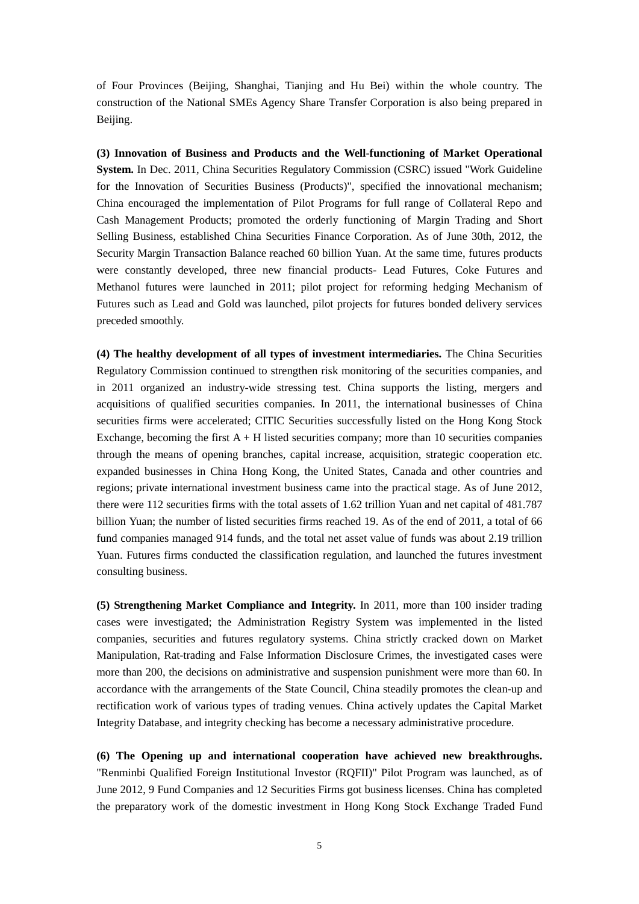of Four Provinces (Beijing, Shanghai, Tianjing and Hu Bei) within the whole country. The construction of the National SMEs Agency Share Transfer Corporation is also being prepared in Beijing.

**(3) Innovation of Business and Products and the Well-functioning of Market Operational System.** In Dec. 2011, China Securities Regulatory Commission (CSRC) issued "Work Guideline for the Innovation of Securities Business (Products)", specified the innovational mechanism; China encouraged the implementation of Pilot Programs for full range of Collateral Repo and Cash Management Products; promoted the orderly functioning of Margin Trading and Short Selling Business, established China Securities Finance Corporation. As of June 30th, 2012, the Security Margin Transaction Balance reached 60 billion Yuan. At the same time, futures products were constantly developed, three new financial products- Lead Futures, Coke Futures and Methanol futures were launched in 2011; pilot project for reforming hedging Mechanism of Futures such as Lead and Gold was launched, pilot projects for futures bonded delivery services preceded smoothly.

**(4) The healthy development of all types of investment intermediaries.** The China Securities Regulatory Commission continued to strengthen risk monitoring of the securities companies, and in 2011 organized an industry-wide stressing test. China supports the listing, mergers and acquisitions of qualified securities companies. In 2011, the international businesses of China securities firms were accelerated; CITIC Securities successfully listed on the Hong Kong Stock Exchange, becoming the first  $A + H$  listed securities company; more than 10 securities companies through the means of opening branches, capital increase, acquisition, strategic cooperation etc. expanded businesses in China Hong Kong, the United States, Canada and other countries and regions; private international investment business came into the practical stage. As of June 2012, there were 112 securities firms with the total assets of 1.62 trillion Yuan and net capital of 481.787 billion Yuan; the number of listed securities firms reached 19. As of the end of 2011, a total of 66 fund companies managed 914 funds, and the total net asset value of funds was about 2.19 trillion Yuan. Futures firms conducted the classification regulation, and launched the futures investment consulting business.

**(5) Strengthening Market Compliance and Integrity.** In 2011, more than 100 insider trading cases were investigated; the Administration Registry System was implemented in the listed companies, securities and futures regulatory systems. China strictly cracked down on Market Manipulation, Rat-trading and False Information Disclosure Crimes, the investigated cases were more than 200, the decisions on administrative and suspension punishment were more than 60. In accordance with the arrangements of the State Council, China steadily promotes the clean-up and rectification work of various types of trading venues. China actively updates the Capital Market Integrity Database, and integrity checking has become a necessary administrative procedure.

**(6) The Opening up and international cooperation have achieved new breakthroughs.** "Renminbi Qualified Foreign Institutional Investor (RQFII)" Pilot Program was launched, as of June 2012, 9 Fund Companies and 12 Securities Firms got business licenses. China has completed the preparatory work of the domestic investment in Hong Kong Stock Exchange Traded Fund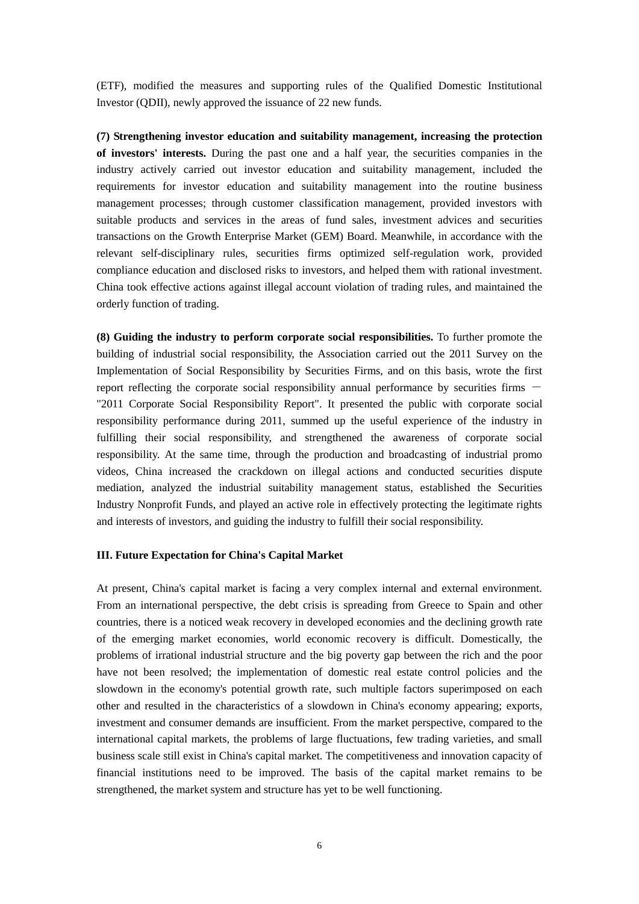(ETF), modified the measures and supporting rules of the Qualified Domestic Institutional Investor (QDII), newly approved the issuance of 22 new funds.

**(7) Strengthening investor education and suitability management, increasing the protection of investors' interests.** During the past one and a half year, the securities companies in the industry actively carried out investor education and suitability management, included the requirements for investor education and suitability management into the routine business management processes; through customer classification management, provided investors with suitable products and services in the areas of fund sales, investment advices and securities transactions on the Growth Enterprise Market (GEM) Board. Meanwhile, in accordance with the relevant self-disciplinary rules, securities firms optimized self-regulation work, provided compliance education and disclosed risks to investors, and helped them with rational investment. China took effective actions against illegal account violation of trading rules, and maintained the orderly function of trading.

**(8) Guiding the industry to perform corporate social responsibilities.** To further promote the building of industrial social responsibility, the Association carried out the 2011 Survey on the Implementation of Social Responsibility by Securities Firms, and on this basis, wrote the first report reflecting the corporate social responsibility annual performance by securities firms  $-$ "2011 Corporate Social Responsibility Report". It presented the public with corporate social responsibility performance during 2011, summed up the useful experience of the industry in fulfilling their social responsibility, and strengthened the awareness of corporate social responsibility. At the same time, through the production and broadcasting of industrial promo videos, China increased the crackdown on illegal actions and conducted securities dispute mediation, analyzed the industrial suitability management status, established the Securities Industry Nonprofit Funds, and played an active role in effectively protecting the legitimate rights and interests of investors, and guiding the industry to fulfill their social responsibility.

## **III. Future Expectation for China's Capital Market**

At present, China's capital market is facing a very complex internal and external environment. From an international perspective, the debt crisis is spreading from Greece to Spain and other countries, there is a noticed weak recovery in developed economies and the declining growth rate of the emerging market economies, world economic recovery is difficult. Domestically, the problems of irrational industrial structure and the big poverty gap between the rich and the poor have not been resolved; the implementation of domestic real estate control policies and the slowdown in the economy's potential growth rate, such multiple factors superimposed on each other and resulted in the characteristics of a slowdown in China's economy appearing; exports, investment and consumer demands are insufficient. From the market perspective, compared to the international capital markets, the problems of large fluctuations, few trading varieties, and small business scale still exist in China's capital market. The competitiveness and innovation capacity of financial institutions need to be improved. The basis of the capital market remains to be strengthened, the market system and structure has yet to be well functioning.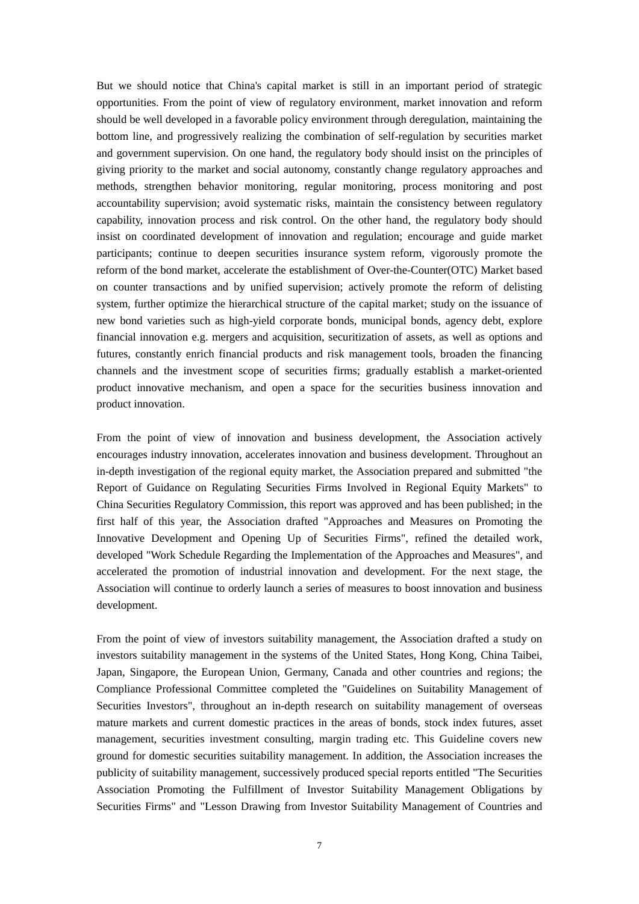But we should notice that China's capital market is still in an important period of strategic opportunities. From the point of view of regulatory environment, market innovation and reform should be well developed in a favorable policy environment through deregulation, maintaining the bottom line, and progressively realizing the combination of self-regulation by securities market and government supervision. On one hand, the regulatory body should insist on the principles of giving priority to the market and social autonomy, constantly change regulatory approaches and methods, strengthen behavior monitoring, regular monitoring, process monitoring and post accountability supervision; avoid systematic risks, maintain the consistency between regulatory capability, innovation process and risk control. On the other hand, the regulatory body should insist on coordinated development of innovation and regulation; encourage and guide market participants; continue to deepen securities insurance system reform, vigorously promote the reform of the bond market, accelerate the establishment of Over-the-Counter(OTC) Market based on counter transactions and by unified supervision; actively promote the reform of delisting system, further optimize the hierarchical structure of the capital market; study on the issuance of new bond varieties such as high-yield corporate bonds, municipal bonds, agency debt, explore financial innovation e.g. mergers and acquisition, securitization of assets, as well as options and futures, constantly enrich financial products and risk management tools, broaden the financing channels and the investment scope of securities firms; gradually establish a market-oriented product innovative mechanism, and open a space for the securities business innovation and product innovation.

From the point of view of innovation and business development, the Association actively encourages industry innovation, accelerates innovation and business development. Throughout an in-depth investigation of the regional equity market, the Association prepared and submitted "the Report of Guidance on Regulating Securities Firms Involved in Regional Equity Markets" to China Securities Regulatory Commission, this report was approved and has been published; in the first half of this year, the Association drafted "Approaches and Measures on Promoting the Innovative Development and Opening Up of Securities Firms", refined the detailed work, developed "Work Schedule Regarding the Implementation of the Approaches and Measures", and accelerated the promotion of industrial innovation and development. For the next stage, the Association will continue to orderly launch a series of measures to boost innovation and business development.

From the point of view of investors suitability management, the Association drafted a study on investors suitability management in the systems of the United States, Hong Kong, China Taibei, Japan, Singapore, the European Union, Germany, Canada and other countries and regions; the Compliance Professional Committee completed the "Guidelines on Suitability Management of Securities Investors", throughout an in-depth research on suitability management of overseas mature markets and current domestic practices in the areas of bonds, stock index futures, asset management, securities investment consulting, margin trading etc. This Guideline covers new ground for domestic securities suitability management. In addition, the Association increases the publicity of suitability management, successively produced special reports entitled "The Securities Association Promoting the Fulfillment of Investor Suitability Management Obligations by Securities Firms" and "Lesson Drawing from Investor Suitability Management of Countries and